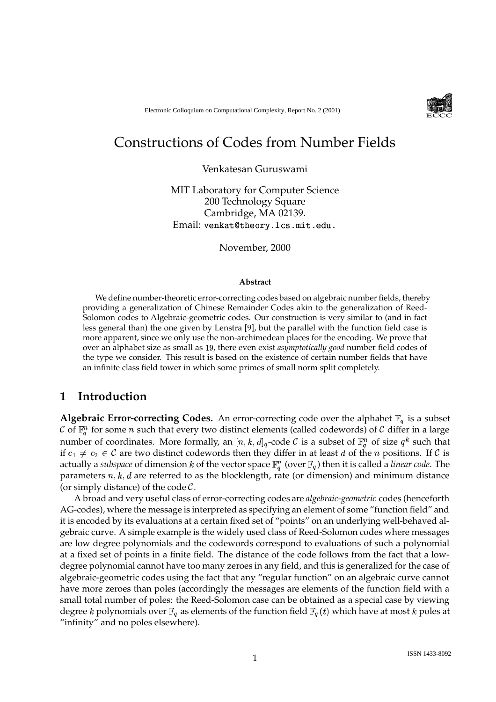

# Constructions of Codes from Number Fields

Venkatesan Guruswami

MIT Laboratory for Computer Science 200 Technology Square Cambridge, MA 02139.  $\operatorname{Email:}$  <code>venkat@theory.lcs.mit.edu.</code>

November, 2000

#### **Abstract**

We define number-theoretic error-correcting codes based on algebraic number fields, thereby providing a generalization of Chinese Remainder Codes akin to the generalization of Reed-Solomon codes to Algebraic-geometric codes. Our construction is very similar to (and in fact less general than) the one given by Lenstra [9], but the parallel with the function field case is more apparent, since we only use the non-archimedean places for the encoding. We prove that over an alphabet size as small as 19, there even exist *asymptotically good* number field codes of the type we consider. This result is based on the existence of certain number fields that have an infinite class field tower in which some primes of small norm split completely.

### **1 Introduction**

**Algebraic Error-correcting Codes.** An error-correcting code over the alphabet  $\mathbb{F}_q$  is a subset  $\mathcal C$  of  $\mathbb F_q^n$  for some  $n$  such that every two distinct elements (called codewords) of  $\mathcal C$  differ in a large number of coordinates. More formally, an  $[n,k,d]_q$ -code  ${\cal C}$  is a subset of  $\mathbb{F}_q^n$  of size  $q^k$  such that if  $c_1 \neq c_2 \in \mathcal{C}$  are two distinct codewords then they differ in at least  $d$  of the  $n$  positions. If  $\mathcal{C}$  is actually a s*ubspace* of dimension  $k$  of the vector space  $\mathbb{F}_q^n$  (over  $\mathbb{F}_q$ ) then it is called a *linear code*. The parameters  $n, k, d$  are referred to as the blocklength, rate (or dimension) and minimum distance (or simply distance) of the code  $C$ .

A broad and very useful class of error-correcting codes are *algebraic-geometric* codes (henceforth AG-codes), where the message is interpreted as specifying an element of some "function field" and it is encoded by its evaluations at a certain fixed set of "points" on an underlying well-behaved algebraic curve. A simple example is the widely used class of Reed-Solomon codes where messages are low degree polynomials and the codewords correspond to evaluations of such a polynomial at a fixed set of points in a finite field. The distance of the code follows from the fact that a lowdegree polynomial cannot have too many zeroes in any field, and this is generalized for the case of algebraic-geometric codes using the fact that any "regular function" on an algebraic curve cannot have more zeroes than poles (accordingly the messages are elements of the function field with a small total number of poles: the Reed-Solomon case can be obtained as a special case by viewing degree k polynomials over  $\mathbb{F}_q$  as elements of the function field  $\mathbb{F}_q(t)$  which have at most k poles at "infinity" and no poles elsewhere).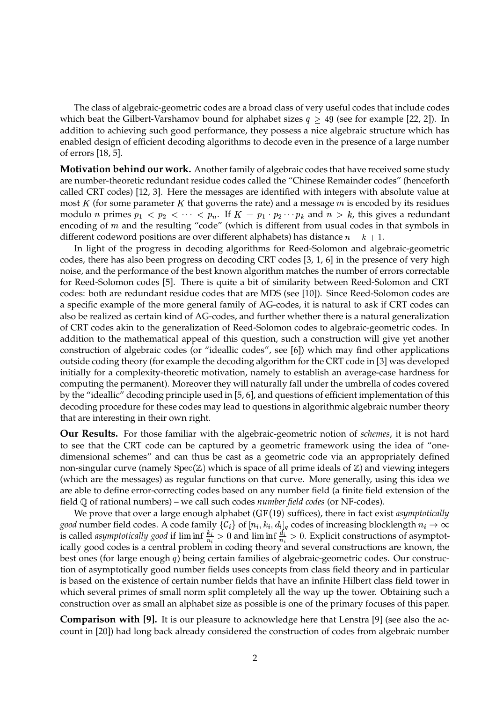The class of algebraic-geometric codes are a broad class of very useful codes that include codes which beat the Gilbert-Varshamov bound for alphabet sizes  $q \geq 49$  (see for example [22, 2]). In addition to achieving such good performance, they possess a nice algebraic structure which has enabled design of efficient decoding algorithms to decode even in the presence of a large number of errors [18, 5].

**Motivation behind our work.** Another family of algebraic codes that have received some study are number-theoretic redundant residue codes called the "Chinese Remainder codes" (henceforth called CRT codes) [12, 3]. Here the messages are identified with integers with absolute value at most  $K$  (for some parameter  $K$  that governs the rate) and a message  $m$  is encoded by its residues modulo n primes  $p_1 < p_2 < \cdots < p_n$ . If  $K = p_1 \cdot p_2 \cdots p_k$  and  $n > k$ , this gives a redundant encoding of  $m$  and the resulting "code" (which is different from usual codes in that symbols in different codeword positions are over different alphabets) has distance  $n - k + 1$ .

In light of the progress in decoding algorithms for Reed-Solomon and algebraic-geometric codes, there has also been progress on decoding CRT codes [3, 1, 6] in the presence of very high noise, and the performance of the best known algorithm matches the number of errors correctable for Reed-Solomon codes [5]. There is quite a bit of similarity between Reed-Solomon and CRT codes: both are redundant residue codes that are MDS (see [10]). Since Reed-Solomon codes are a specific example of the more general family of AG-codes, it is natural to ask if CRT codes can also be realized as certain kind of AG-codes, and further whether there is a natural generalization of CRT codes akin to the generalization of Reed-Solomon codes to algebraic-geometric codes. In addition to the mathematical appeal of this question, such a construction will give yet another construction of algebraic codes (or "ideallic codes", see [6]) which may find other applications outside coding theory (for example the decoding algorithm for the CRT code in [3] was developed initially for a complexity-theoretic motivation, namely to establish an average-case hardness for computing the permanent). Moreover they will naturally fall under the umbrella of codes covered by the "ideallic" decoding principle used in [5, 6], and questions of efficient implementation of this decoding procedure for these codes may lead to questions in algorithmic algebraic number theory that are interesting in their own right.

**Our Results.** For those familiar with the algebraic-geometric notion of *schemes*, it is not hard to see that the CRT code can be captured by a geometric framework using the idea of "onedimensional schemes" and can thus be cast as a geometric code via an appropriately defined non-singular curve (namely  $Spec(\mathbb{Z})$  which is space of all prime ideals of  $\mathbb{Z}$ ) and viewing integers (which are the messages) as regular functions on that curve. More generally, using this idea we are able to define error-correcting codes based on any number field (a finite field extension of the field & of rational numbers) – we call such codes *number field codes* (or NF-codes).

We prove that over a large enough alphabet  $(GF(19)$  suffices), there in fact exist *asymptotically*  $good$  number field codes. A code family  $\{\mathcal{C}_i\}$  of  $[n_i,k_i,d_i]_q$  codes of increasing blocklength  $n_i\to\infty$ is called *asymptotically* good if  $\liminf_{n \to \infty} \frac{k_i}{n_i} > 0$  and  $\liminf_{n \to \infty} \frac{d_i}{n_i} > 0$ . Explicit constructions of asymptotically good codes is a central problem in coding theory and several constructions are known, the best ones (for large enough  $q$ ) being certain families of algebraic-geometric codes. Our construction of asymptotically good number fields uses concepts from class field theory and in particular is based on the existence of certain number fields that have an infinite Hilbert class field tower in which several primes of small norm split completely all the way up the tower. Obtaining such a construction over as small an alphabet size as possible is one of the primary focuses of this paper.

**Comparison with [9].** It is our pleasure to acknowledge here that Lenstra [9] (see also the account in [20]) had long back already considered the construction of codes from algebraic number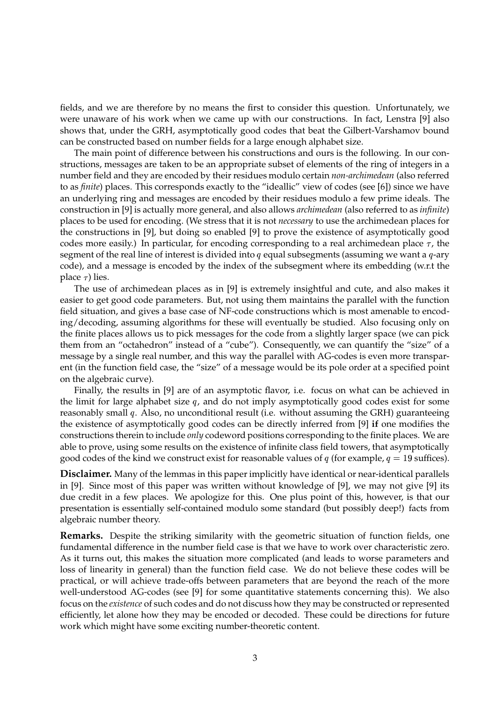fields, and we are therefore by no means the first to consider this question. Unfortunately, we were unaware of his work when we came up with our constructions. In fact, Lenstra [9] also shows that, under the GRH, asymptotically good codes that beat the Gilbert-Varshamov bound can be constructed based on number fields for a large enough alphabet size.

The main point of difference between his constructions and ours is the following. In our constructions, messages are taken to be an appropriate subset of elements of the ring of integers in a number field and they are encoded by their residues modulo certain *non-archimedean* (also referred to as *finite*) places. This corresponds exactly to the "ideallic" view of codes (see [6]) since we have an underlying ring and messages are encoded by their residues modulo a few prime ideals. The construction in [9] is actually more general, and also allows *archimedean* (also referred to as *infinite*) places to be used for encoding. (We stress that it is not *necessary* to use the archimedean places for the constructions in [9], but doing so enabled [9] to prove the existence of asymptotically good codes more easily.) In particular, for encoding corresponding to a real archimedean place  $\tau$ , the segment of the real line of interest is divided into q equal subsegments (assuming we want a  $q$ -ary code), and a message is encoded by the index of the subsegment where its embedding (w.r.t the place  $\tau$ ) lies.

The use of archimedean places as in [9] is extremely insightful and cute, and also makes it easier to get good code parameters. But, not using them maintains the parallel with the function field situation, and gives a base case of NF-code constructions which is most amenable to encoding/decoding, assuming algorithms for these will eventually be studied. Also focusing only on the finite places allows us to pick messages for the code from a slightly larger space (we can pick them from an "octahedron" instead of a "cube"). Consequently, we can quantify the "size" of a message by a single real number, and this way the parallel with AG-codes is even more transparent (in the function field case, the "size" of a message would be its pole order at a specified point on the algebraic curve).

Finally, the results in [9] are of an asymptotic flavor, i.e. focus on what can be achieved in the limit for large alphabet size  $q$ , and do not imply asymptotically good codes exist for some reasonably small q. Also, no unconditional result (i.e. without assuming the GRH) guaranteeing the existence of asymptotically good codes can be directly inferred from [9] **if** one modifies the constructions therein to include *only* codeword positions corresponding to the finite places. We are able to prove, using some results on the existence of infinite class field towers, that asymptotically good codes of the kind we construct exist for reasonable values of  $q$  (for example,  $q = 19$  suffices).

**Disclaimer.** Many of the lemmas in this paper implicitly have identical or near-identical parallels in [9]. Since most of this paper was written without knowledge of [9], we may not give [9] its due credit in a few places. We apologize for this. One plus point of this, however, is that our presentation is essentially self-contained modulo some standard (but possibly deep!) facts from algebraic number theory.

**Remarks.** Despite the striking similarity with the geometric situation of function fields, one fundamental difference in the number field case is that we have to work over characteristic zero. As it turns out, this makes the situation more complicated (and leads to worse parameters and loss of linearity in general) than the function field case. We do not believe these codes will be practical, or will achieve trade-offs between parameters that are beyond the reach of the more well-understood AG-codes (see [9] for some quantitative statements concerning this). We also focus on the *existence* of such codes and do not discuss how they may be constructed orrepresented efficiently, let alone how they may be encoded or decoded. These could be directions for future work which might have some exciting number-theoretic content.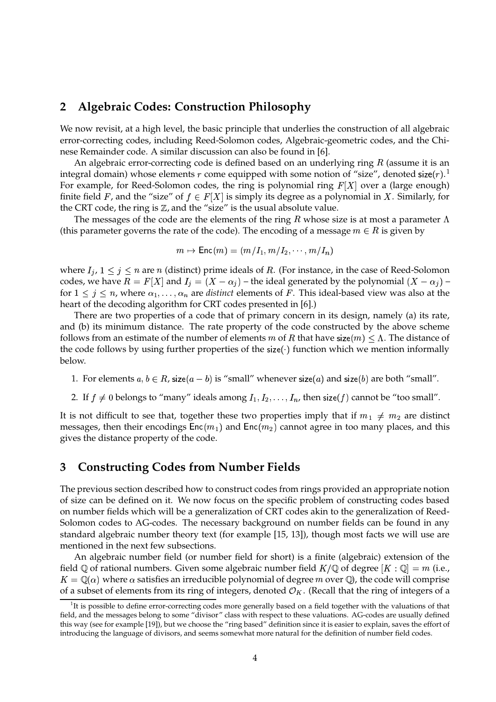# **2 Algebraic Codes: Construction Philosophy**

We now revisit, at a high level, the basic principle that underlies the construction of all algebraic error-correcting codes, including Reed-Solomon codes, Algebraic-geometric codes, and the Chinese Remainder code. A similar discussion can also be found in [6].

An algebraic error-correcting code is defined based on an underlying ring  $R$  (assume it is an integral domain) whose elements r come equipped with some notion of "size", denoted size $(r)$ .<sup>1</sup> For example, for Reed-Solomon codes, the ring is polynomial ring  $F[X]$  over a (large enough) finite field F, and the "size" of  $f \in F[X]$  is simply its degree as a polynomial in X. Similarly, for the CRT code, the ring is  $\mathbb{Z}$ , and the "size" is the usual absolute value.

The messages of the code are the elements of the ring  $R$  whose size is at most a parameter  $\Lambda$ (this parameter governs the rate of the code). The encoding of a message  $m \in R$  is given by

$$
m\mapsto \mathsf{Enc}(m) = (m/I_1, m/I_2, \cdots, m/I_n)
$$

where  $I_j$ ,  $1 \leq j \leq n$  are n (distinct) prime ideals of R. (For instance, in the case of Reed-Solomon codes, we have  $R = F[X]$  and  $I_i = (X - \alpha_i)$  – the ideal generated by the polynomial  $(X - \alpha_i)$  – for  $1 \leq j \leq n$ , where  $\alpha_1, \ldots, \alpha_n$  are *distinct* elements of F. This ideal-based view was also at the heart of the decoding algorithm for CRT codes presented in [6].)

There are two properties of a code that of primary concern in its design, namely (a) its rate, and (b) its minimum distance. The rate property of the code constructed by the above scheme follows from an estimate of the number of elements  $m$  of  $R$  that have size $(m)\leq \Lambda.$  The distance of the code follows by using further properties of the size( $\cdot$ ) function which we mention informally below.

- 1. For elements  $a, b \in R$ , size $(a b)$  is "small" whenever size $(a)$  and size $(b)$  are both "small".
- 2. If  $f \neq 0$  belongs to "many" ideals among  $I_1, I_2, \ldots, I_n$ , then size( $f$ ) cannot be "too small".

It is not difficult to see that, together these two properties imply that if  $m_1 \neq m_2$  are distinct messages, then their encodings  $Enc(m_1)$  and  $Enc(m_2)$  cannot agree in too many places, and this gives the distance property of the code.

# **3 Constructing Codes from Number Fields**

The previous section described how to construct codes from rings provided an appropriate notion of size can be defined on it. We now focus on the specific problem of constructing codes based on number fields which will be a generalization of CRT codes akin to the generalization of Reed-Solomon codes to AG-codes. The necessary background on number fields can be found in any standard algebraic number theory text (for example [15, 13]), though most facts we will use are mentioned in the next few subsections.

An algebraic number field (or number field for short) is a finite (algebraic) extension of the field Q of rational numbers. Given some algebraic number field  $K/\mathbb{Q}$  of degree  $|K:\mathbb{Q}| = m$  (i.e.,  $K = \mathbb{Q}(\alpha)$  where  $\alpha$  satisfies an irreducible polynomial of degree m over  $\mathbb{Q}$ , the code will comprise of a subset of elements from its ring of integers, denoted  $\mathcal{O}_K$ . (Recall that the ring of integers of a

<sup>&</sup>lt;sup>1</sup>It is possible to define error-correcting codes more generally based on a field together with the valuations of that field, and the messages belong to some "divisor" class with respect to these valuations. AG-codes are usually defined this way (see for example [19]), but we choose the "ring based" definition since it is easier to explain, saves the effort of introducing the language of divisors, and seems somewhat more natural for the definition of number field codes.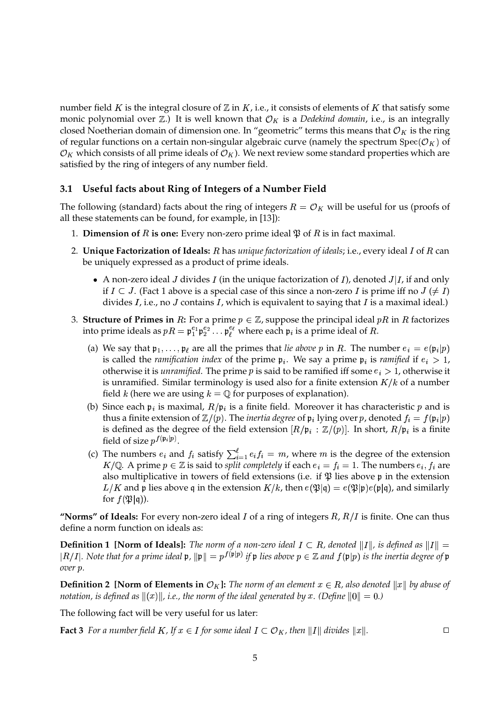number field  $K$  is the integral closure of  $\mathbb Z$  in  $K$ , i.e., it consists of elements of  $K$  that satisfy some monic polynomial over  $\mathbb{Z}$ .) It is well known that  $\mathcal{O}_K$  is a *Dedekind domain*, i.e., is an integrally closed Noetherian domain of dimension one. In "geometric" terms this means that  $\mathcal{O}_K$  is the ring of regular functions on a certain non-singular algebraic curve (namely the spectrum  $Spec(\mathcal{O}_K)$  of  $\mathcal{O}_K$  which consists of all prime ideals of  $\mathcal{O}_K$ ). We next review some standard properties which are satisfied by the ring of integers of any number field.

### **3.1 Useful facts about Ring of Integers of a Number Field**

The following (standard) facts about the ring of integers  $R = \mathcal{O}_K$  will be useful for us (proofs of all these statements can be found, for example, in [13]):

- 1. **Dimension of R is one:** Every non-zero prime ideal  $\mathfrak{P}$  of R is in fact maximal.
- 2. **Unique Factorization of Ideals:**  $R$  has *unique factorization of ideals;* i.e., every ideal  $I$  of  $R$  can be uniquely expressed as a product of prime ideals.
	- A non-zero ideal J divides I (in the unique factorization of I), denoted  $J|I$ , if and only if  $I \subset J$ . (Fact 1 above is a special case of this since a non-zero I is prime iff no  $J \ (\neq I)$ divides  $I$ , i.e., no  $J$  contains  $I$ , which is equivalent to saying that  $I$  is a maximal ideal.)
- 3. **Structure of Primes in**  $R$ : For a prime  $p \in \mathbb{Z}$ , suppose the principal ideal  $pR$  in  $R$  factorizes into prime ideals as  $pR = \mathfrak{p}_1^{e_1} \mathfrak{p}_2^{e_2} \ldots \mathfrak{p}_\ell^{e_\ell}$  where each  $\mathfrak{p}_i$  is a prime ideal of  $R$ .
	- (a) We say that  $\mathfrak{p}_1,\ldots,\mathfrak{p}_\ell$  are all the primes that *lie above* p in R. The number  $e_i = e(\mathfrak{p}_i|p)$ is called the *ramification index* of the prime  $\mathfrak{p}_i$ . We say a prime  $\mathfrak{p}_i$  is *ramified* if  $e_i > 1$ , otherwise it is *unramified*. The prime  $p$  is said to be ramified iff some  $e_i > 1$ , otherwise it is unramified. Similar terminology is used also for a finite extension  $K/k$  of a number field k (here we are using  $k = \mathbb{Q}$  for purposes of explanation).
	- (b) Since each  $\mathfrak{p}_i$  is maximal,  $R/\mathfrak{p}_i$  is a finite field. Moreover it has characteristic p and is thus a finite extension of  $\mathbb{Z}/(p).$  The *inertia degree* of  $\mathfrak{p}_i$  lying over  $p$ , denoted  $f_i = f(\mathfrak{p}_i|p)$ is defined as the degree of the field extension  $[R/\mathfrak{p}_i : \mathbb{Z}/(p)].$  In short,  $R/\mathfrak{p}_i$  is a finite field of size  $p^{f(\mathfrak{p}_i|p)}$ .
	- (c) The numbers  $e_i$  and  $f_i$  satisfy  $\sum_{i=1}^{\ell} e_i f_i = m$ , where m is the degree of the extension  $K/\mathbb{Q}$ . A prime  $p \in \mathbb{Z}$  is said to *split completely* if each  $e_i = f_i = 1$ . The numbers  $e_i, f_i$  are also multiplicative in towers of field extensions (i.e. if  $\mathfrak P$  lies above p in the extension  $L/K$  and  $\frak{p}$  lies above  $\frak{q}$  in the extension  $K/k$ , then  $e(\frak{P}|\frak{q})=e(\frak{P}|\frak{p})e(\frak{p}|\frak{q})$ , and similarly for  $f(\mathfrak{P}|\mathfrak{q})$ ).

"**Norms" of Ideals:** For every non-zero ideal  $I$  of a ring of integers  $R$ ,  $R/I$  is finite. One can thus define a norm function on ideals as:

**Definition 1 [Norm of Ideals]:** The norm of a non-zero ideal  $I \subset R$ , denoted  $||I||$ , is defined as  $||I|| =$  $|R/I|$ . Note that for a prime ideal  $\mathfrak{p},\|\mathfrak{p}\|=p^{f(\mathfrak{p}\|p)}$  if  $\mathfrak{p}$  lies above  $p\in\mathbb{Z}$  and  $f(\mathfrak{p}|p)$  is the inertia degree of  $\mathfrak{p}$ *over*  $p$ .

**Definition 2 [Norm of Elements in**  $\mathcal{O}_K$ ]: The norm of an element  $x \in R$ , also denoted  $||x||$  by abuse of *notation, is defined as*  $\|(x)\|$ *, i.e., the norm of the ideal generated by*  $x$ *. (Define*  $\|0\|=0.$ *)* 

The following fact will be very useful for us later:

**Fact 3** For *a* number field *K*, If  $x \in I$  for some ideal  $I \subset O_K$ , then ||I|| divides  $||x||$ .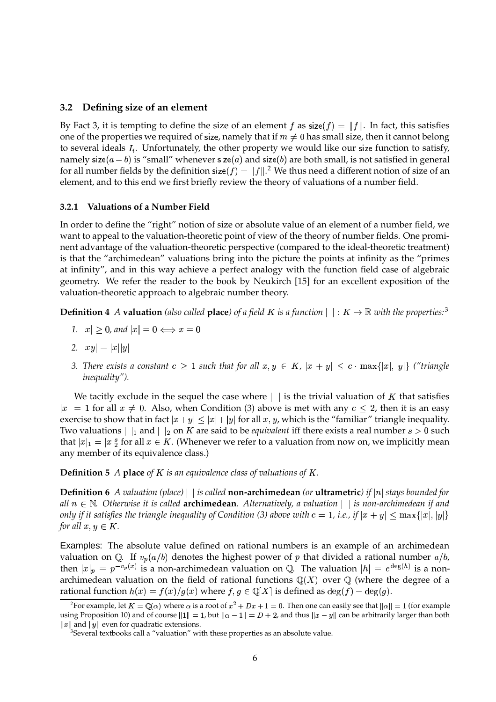### **3.2 Defining size of an element**

By Fact 3, it is tempting to define the size of an element f as size(f) =  $||f||$ . In fact, this satisfies one of the properties we required of size, namely that if  $m\neq 0$  has small size, then it cannot belong to several ideals  $I_i$ . Unfortunately, the other property we would like our size function to satisfy, namely size $(a-b)$  is "small" whenever size $(a)$  and size $(b)$  are both small, is not satisfied in general for all number fields by the definition size( $f$ ) =  $||f||$ . We thus need a different notion of size of an element, and to this end we first briefly review the theory of valuations of a number field.

### **3.2.1 Valuations of a Number Field**

In order to define the "right" notion of size or absolute value of an element of a number field, we want to appeal to the valuation-theoretic point of view of the theory of number fields. One prominent advantage of the valuation-theoretic perspective (compared to the ideal-theoretic treatment) is that the "archimedean" valuations bring into the picture the points at infinity as the "primes at infinity", and in this way achieve a perfect analogy with the function field case of algebraic geometry. We refer the reader to the book by Neukirch [15] for an excellent exposition of the valuation-theoretic approach to algebraic number theory.

**Definition 4** *A* **valuation** (also called **place**) of a field K is a function  $| \cdot | : K \to \mathbb{R}$  with the properties:<sup>3</sup>

- 1.  $|x| \geq 0$ , and  $|x| = 0 \Longleftrightarrow x = 0$
- 2.  $|xy| = |x||y|$
- 3. There exists a constant  $c \geq 1$  such that for all  $x, y \in K$ ,  $|x + y| \leq c \cdot \max\{|x|, |y|\}$  ("triangle *inequality").*

We tacitly exclude in the sequel the case where  $\vert \cdot \vert$  is the trivial valuation of K that satisfies  $|x|=1$  for all  $x\neq 0$ . Also, when Condition (3) above is met with any  $c\leq 2$ , then it is an easy exercise to show that in fact  $|x+y| \leq |x|+|y|$  for all  $x, y$ , which is the "familiar" triangle inequality. Two valuations  $\vert \vert_1$  and  $\vert \vert_2$  on *K* are said to be *equivalent* iff there exists a real number  $s > 0$  such that  $|x|_1 = |x|_2^s$  for all  $x \in K$ . (Whenever we refer to a valuation from now on, we implicitly mean any member of its equivalence class.)

**Definition 5** *A* **place** *of*  $K$  *is an equivalence class of valuations of*  $K$ *.* 

**Definition** 6 *A valuation* (place) | is called **non-archimedean** (or **ultrametric**) if  $|n|$  stays bounded for *all*  $n \in \mathbb{N}$ . Otherwise it is called **archimedean**. Alternatively, a valuation  $|$  is non-archimedean if and only if it satisfies the triangle inequality of Condition (3) above with  $c=1$ , i.e., if  $|x+y|\leq \max\{|x|,|y|\}$ *for all*  $x, y \in K$ *.* 

Examples: The absolute value defined on rational numbers is an example of an archimedean valuation on Q. If  $v_p(a/b)$  denotes the highest power of  $p$  that divided a rational number  $a/b$ , then  $|x|_p = p^{-v_p(x)}$  is a non-archimedean valuation on Q. The valuation  $|h| = e^{\deg(h)}$  is a nonarchimedean valuation on the field of rational functions  $\mathbb{Q}(X)$  over  $\mathbb{Q}$  (where the degree of a rational function  $h(x) = f(x)/g(x)$  where  $f,g \in \mathbb{Q}[X]$  is defined as  $\deg(f) - \deg(g).$ 

<sup>&</sup>lt;sup>2</sup>For example, let  $K = \mathbb{Q}(\alpha)$  where  $\alpha$  is a root of  $x^2 + Dx + 1 = 0$ . Then one can easily see that  $\|\alpha\| = 1$  (for example using Proposition 10) and of course  $||1|| = 1$ , but  $||\alpha - 1|| = D + 2$ , and thus  $||x - y||$  can be arbitrarily larger than both  $||x||$  and  $||y||$  even for quadratic extensions.

 $3$ Several textbooks call a "valuation" with these properties as an absolute value.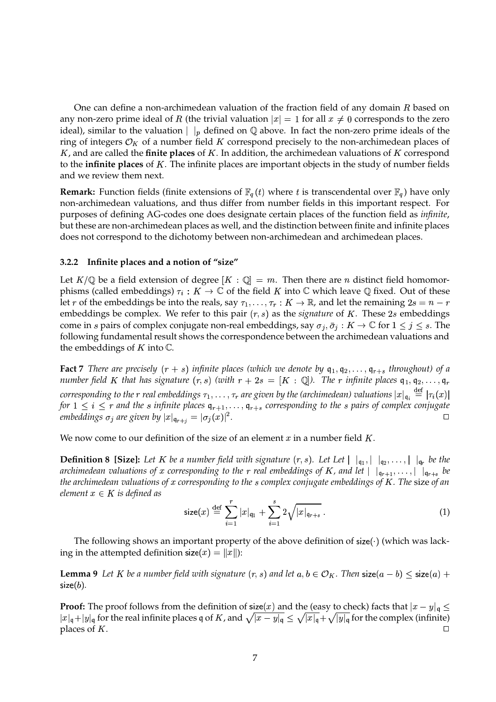One can define a non-archimedean valuation of the fraction field of any domain  $R$  based on any non-zero prime ideal of  $R$  (the trivial valuation  $|x|=1$  for all  $x\neq 0$  corresponds to the zero ideal), similar to the valuation  $|\ \ |_p$  defined on  $\mathbb Q$  above. In fact the non-zero prime ideals of the ring of integers  $\mathcal{O}_K$  of a number field K correspond precisely to the non-archimedean places of K, and are called the **finite places** of K. In addition, the archimedean valuations of K correspond to the **infinite** places of K. The infinite places are important objects in the study of number fields and we review them next.

**Remark:** Function fields (finite extensions of  $\mathbb{F}_q(t)$  where t is transcendental over  $\mathbb{F}_q$ ) have only non-archimedean valuations, and thus differ from number fields in this important respect. For purposes of defining AG-codes one does designate certain places of the function field as *infinite*, but these are non-archimedean places as well, and the distinction between finite and infinite places does not correspond to the dichotomy between non-archimedean and archimedean places.

### **3.2.2 Infinite places and a notion of "size"**

Let  $K/\mathbb{Q}$  be a field extension of degree  $[K : \mathbb{Q}] = m$ . Then there are *n* distinct field homomorphisms (called embeddings)  $\tau_i: K \to \mathbb{C}$  of the field K into  $\mathbb{C}$  which leave  $\mathbb Q$  fixed. Out of these let  $r$  of the embeddings be into the reals, say  $\tau_1,\ldots,\tau_r:K\to\mathbb R$ , and let the remaining  $2s=n-r$ embeddings be complex. We refer to this pair  $(r, s)$  as the *signature* of  $K$ . These 2s embeddings come in *s* pairs of complex conjugate non-real embeddings, say  $\sigma_j$ ,  $\bar{\sigma}_j$  :  $K \to \mathbb{C}$  for  $1 \leq j \leq s$ . The following fundamental result shows the correspondence between the archimedean valuations and the embeddings of  $K$  into  $\mathbb C$ .

**Fact** 7 There are precisely  $(r + s)$  infinite places (which we denote by  $q_1, q_2, \ldots, q_{r+s}$  throughout) of a *number field K that has signature*  $(r, s)$  (with  $r + 2s = [K : \mathbb{Q}]$ ). The r infinite places  $\mathsf{q}_1, \mathsf{q}_2, \ldots, \mathsf{q}_r$  $corresponding$  to the  $r$  real embeddings  $\tau_1, \ldots, \tau_r$  are given by the (archimedean) valuations  $|x|_{\mathfrak{q}_i} \stackrel{\text{def}}{=} |\tau_i(x)|$  $= |\tau_i(x)|$ for  $1 \leq i \leq r$  and the  $s$  infinite places  $\mathfrak{q}_{r+1}, \ldots, \mathfrak{q}_{r+s}$  corresponding to the  $s$  pairs of complex conjugate *embeddings*  $\sigma_j$  are given by  $|x|_{\mathfrak{q}_{r+i}} = |\sigma_j(x)|^2$ . *.* /

We now come to our definition of the size of an element  $x$  in a number field  $K$ .

**Definition 8 [Size]:** Let K be a number field with signature  $(r, s)$ . Let Let  $| \cdot |_{q_1}, | \cdot |_{q_2}, \ldots, | \cdot |_{q_r}$  be the archimedean valuations of x corresponding to the r real embeddings of K, and let  $| \; |_{\mathfrak{q}_{r+1}}, \ldots, | \; |_{\mathfrak{q}_{r+s}}$  be *the archimedean valuations of* , *corresponding to the complex conjugate embeddings of . The* size *of an element*  $x \in K$  *is defined as* 

$$
\mathsf{size}(x) \stackrel{\text{def}}{=} \sum_{i=1}^{r} |x|_{\mathsf{q}_1} + \sum_{i=1}^{s} 2\sqrt{|x|_{\mathsf{q}_{r+s}}} \,. \tag{1}
$$

The following shows an important property of the above definition of size( ) (which was lacking in the attempted definition size $(x) = \|x\|$ ):

**Lemma** 9 Let K be a number field with signature  $(r, s)$  and let  $a, b \in \mathcal{O}_K$ . Then  $\mathsf{size}(a - b) \leq \mathsf{size}(a) +$  $\mathsf{size}(b).$ 

**Proof:** The proof follows from the definition of size(x) and the (easy to check) facts that  $|x-y|_{\mathfrak{g}} \leq$  $|x|_q + |y|_q$  for the real infinite places  $q$  of K, and  $\sqrt{|x-y|_q} \le \sqrt{|x|_q} + \sqrt{|y|_q}$  for the complex (infinite) places of  $K$ .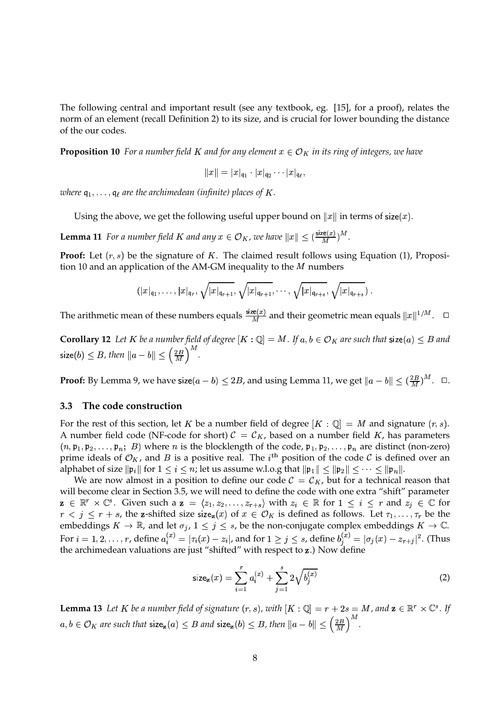The following central and important result (see any textbook, eg. [15], for a proof), relates the norm of an element (recall Definition 2) to its size, and is crucial for lower bounding the distance of the our codes.

**Proposition 10** *For a number field K and for any element*  $x \in O_K$  *in its ring of integers, we have* 

$$
\|x\|=|x|_{\mathfrak q_1}\cdot |x|_{\mathfrak q_2}\cdots |x|_{\mathfrak q_\ell},
$$

 $\alpha$  *vhere*  $\mathfrak{q}_1, \ldots, \mathfrak{q}_\ell$  are the archimedean (infinite) places of K .

Using the above, we get the following useful upper bound on  $\|x\|$  in terms of size( $x$ ).

**Lemma 11** For a number field K and any  $x \in \mathcal{O}_K$ , we have  $||x|| \leq (\frac{\text{size}(x)}{M})^M$ .  $\frac{\text{ce}(x)}{M}$ )<sup>M</sup>.

**Proof:** Let  $(r, s)$  be the signature of K. The claimed result follows using Equation (1), Proposition 10 and an application of the AM-GM inequality to the  $M$  numbers

$$
(|x|_{\mathfrak{q}_1},\ldots,|x|_{\mathfrak{q}_r},\sqrt{|x|_{\mathfrak{q}_{r+1}}},\sqrt{|x|_{\mathfrak{q}_{r+1}}},\ldots,\sqrt{|x|_{\mathfrak{q}_{r+s}}},\sqrt{|x|_{\mathfrak{q}_{r+s}}})
$$

The arithmetic mean of these numbers equals  $\frac{\text{size}(x)}{M}$  and  $\frac{\text{Re}(x)}{M}$  and their geometric mean equals  $||x||^{1/M}$ .  $\Box$ 

 ${\bf Corollary 12}$  Let  $K$  be a number field of degree  $[K:{\mathbb Q}]=M.$  If  $a,b\in {\mathcal O}_K$  are such that  ${\sf size}(a)\leq B$  and size(b)  $\leq B$  , then  $\|a-b\| \leq \left(\frac{2B}{M}\right)^M$  .

**Proof:** By Lemma 9, we have size $(a - b) \le 2B$ , and using Lemma 11, we get  $\|a - b\| \le (\frac{2B}{M})^M$ .  $\Box$ .

### **3.3 The code construction**

For the rest of this section, let  $K$  be a number field of degree  $[K:\mathbb{Q}]=M$  and signature  $(r,s).$ A number field code (NF-code for short)  $C = C_K$ , based on a number field K, has parameters  $(n, \mathfrak{p}_1, \mathfrak{p}_2, \ldots, \mathfrak{p}_n; B)$  where  $n$  is the blocklength of the code,  $\mathfrak{p}_1, \mathfrak{p}_2, \ldots, \mathfrak{p}_n$  are distinct (non-zero) prime ideals of  $\mathcal{O}_K$ , and B is a positive real. The  $i^{\text{th}}$  position of the code C is defined over an alphabet of size  $\|\frak{p}_i\|$  for  $1\leq i\leq n$ ; let us assume w.l.o.g that  $\|\frak{p}_1\|\leq \|\frak{p}_2\|\leq \cdots \leq \|\frak{p}_n\|.$ 

We are now almost in a position to define our code  $C = C_K$ , but for a technical reason that will become clear in Section 3.5, we will need to define the code with one extra "shift" parameter  $\mathbf{z} \in \mathbb{R}^r \times \mathbb{C}^s$ . Given such a  $\mathbf{z} = \langle z_1, z_2, \ldots, z_{r+s} \rangle$  with  $z_i \in \mathbb{R}$  for  $1 \leq i \leq r$  and  $z_j \in \mathbb{C}$  for  $r < j \leq r + s$ , the **z**-shifted size size<sub>z</sub> $(x)$  of  $x \in \mathcal{O}_K$  is defined as follows. Let  $\tau_1, \ldots, \tau_r$  be the embeddings  $K \to \mathbb{R}$ , and let  $\sigma_j$ ,  $1 \leq j \leq s$ , be the non-conjugate complex embeddings  $K \to \mathbb{C}$ . For  $i=1,2,\ldots,r$ , define  $a_i^{(x)}=|\tau_i(x)-z_i|$ , and for  $1\geq j\leq s$ , define  $b_i^{(x)}=|\sigma_j(x)-z_{r+j}|^2$ . (Thus the archimedean valuations are just "shifted" with respect to **z**.) Now define

$$
\text{size}_{\mathbf{z}}(x) = \sum_{i=1}^{r} a_i^{(x)} + \sum_{j=1}^{s} 2\sqrt{b_j^{(x)}}
$$
(2)

**Lemma 13** Let  $K$  be a number field of signature  $(r, s)$ , with  $[K : \mathbb{Q}] = r + 2s = M$ , and  $\mathbf{z} \in \mathbb{R}^r \times \mathbb{C}^s$ . If  $a,b\in \mathcal{O}_K$  are such that  $\textsf{size}_{\mathbf{z}}(a)\leq B$  and  $\textsf{size}_{\mathbf{z}}(b)\leq B$ , then  $\|a-b\|\leq \left(\frac{2B}{M}\right)^M$ .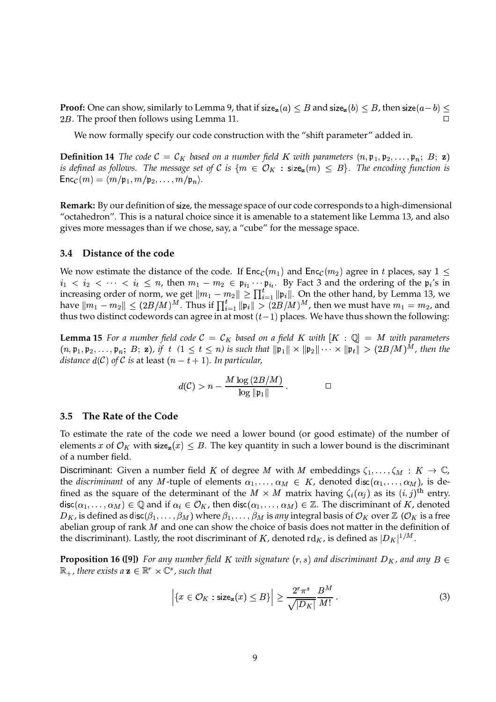**Proof:** One can show, similarly to Lemma 9, that if size $_{\mathbf{z}}(a) \leq B$  and size $_{\mathbf{z}}(b) \leq B$ , then size $(a-b) \leq$ 2B. The proof then follows using Lemma 11.

We now formally specify our code construction with the "shift parameter" added in.

**Definition 14** The code  $C = C_K$  based on a number field K with parameters  $(n, \mathfrak{p}_1, \mathfrak{p}_2, \ldots, \mathfrak{p}_n; B; \mathbf{z})$ *is defined as follows. The message set of C is*  $\{m \in \mathcal{O}_K : \mathsf{size}_\mathbf{z}(m) \leq B\}$ *. The encoding function is*  $\mathsf{Enc}_{\mathcal{C}}(m) = \langle m/\mathfrak{p}_1, m/\mathfrak{p}_2, \ldots, m/\mathfrak{p}_n \rangle.$ 

**Remark:** By our definition of size, the message space of our code corresponds to a high-dimensional "octahedron". This is a natural choice since it is amenable to a statement like Lemma 13, and also gives more messages than if we chose, say, a "cube" for the message space.

### **3.4 Distance of the code**

We now estimate the distance of the code. If  $\mathsf{Enc}_{\mathcal{C}}(m_1)$  and  $\mathsf{Enc}_{\mathcal{C}}(m_2)$  agree in t places, say  $1 \leq$  $i_1 < i_2 < \cdots < i_t \leq n$ , then  $m_1 - m_2 \in \mathfrak{p}_{i_1} \cdots \mathfrak{p}_{i_t}$ .  $\mathfrak{p}_i \cdots \mathfrak{p}_{i_t}$ . By Fact 3 and the ordering of the  $\mathfrak{p}_i$ 's in increasing order of norm, we get  $\|m_1 - m_2\| \ge \prod_{i=1}^t \|\mathfrak{p}_i\|.$  On the other hand, by Lemma 13, we have  $\|m_1-m_2\|\leq (2B/M)^M.$  Thus if  $\prod_{i=1}^t\|\mathfrak{p}_i\|> (2B/M)^M$ , then we must have  $m_1=m_2$ , and thus two distinct codewords can agree in at most  $(t-1)$  places. We have thus shown the following:

**Lemma 15** For a number field code  $C = C_K$  based on a field K with  $[K : \mathbb{Q}] = M$  with parameters  $(n, \mathfrak{p}_1, \mathfrak{p}_2, \ldots, \mathfrak{p}_n; B; \mathbf{z})$ , if  $t \ (1 \leq t \leq n)$  is such that  $\|\mathfrak{p}_1\| \times \|\mathfrak{p}_2\| \cdots \times \|\mathfrak{p}_t\| > (2B/M)^M$ , then the  $d$ *istance*  $d(\mathcal{C})$  *of*  $\mathcal C$  *is* at least  $(n-t+1).$  *In particular,* 

$$
d(\mathcal{C}) > n - \frac{M \log \left( 2B/M \right)}{\log \|\mathfrak{p}_1\|} \, . \qquad \qquad \Box
$$

### **3.5 The Rate of the Code**

To estimate the rate of the code we need a lower bound (or good estimate) of the number of elements  $x$  of  $\mathcal{O}_K$  with size $_{\mathbf{z}}(x)\leq B.$  The key quantity in such a lower bound is the discriminant of a number field.

Discriminant: Given a number field K of degree M with M embeddings  $\zeta_1,\ldots,\zeta_M: K \to \mathbb{C}$ , the *discriminant* of any M-tuple of elements  $\alpha_1, \ldots, \alpha_M \in K$ , denoted disc $(\alpha_1, \ldots, \alpha_M)$ , is defined as the square of the determinant of the  $M \times M$  matrix having  $\zeta_i(\alpha_j)$  as its  $(i, j)$ <sup>th</sup> entry. disc $(\alpha_1,\ldots,\alpha_M)\in\mathbb{Q}$  and if  $\alpha_i\in\mathcal{O}_K$ , then disc $(\alpha_1,\ldots,\alpha_M)\in\mathbb{Z}.$  The discriminant of  $K$ , denoted  $D_K$ , is defined as disc $(\beta_1,\ldots,\beta_M)$  where  $\beta_1,\ldots,\beta_M$  is *any* integral basis of  $\mathcal{O}_K$  over  $\mathbb Z$  ( $\mathcal{O}_K$  is a free abelian group of rank  $M$  and one can show the choice of basis does not matter in the definition of the discriminant). Lastly, the root discriminant of  $K$ , denoted rd $_K$ , is defined as  $|D_K|^{1/M}.$ 

**Proposition 16 ([9])** For any number field K with signature  $(r, s)$  and discriminant  $D_K$ , and any  $B \in$  $\mathbb{R}_+$  , there exists a  $\mathbf{z} \in \mathbb{R}^r \times \mathbb{C}^s$  , such that

$$
\left| \{ x \in \mathcal{O}_K : \text{size}_{\mathbf{z}}(x) \leq B \} \right| \geq \frac{2^r \pi^s}{\sqrt{|D_K|}} \frac{B^M}{M!} \,. \tag{3}
$$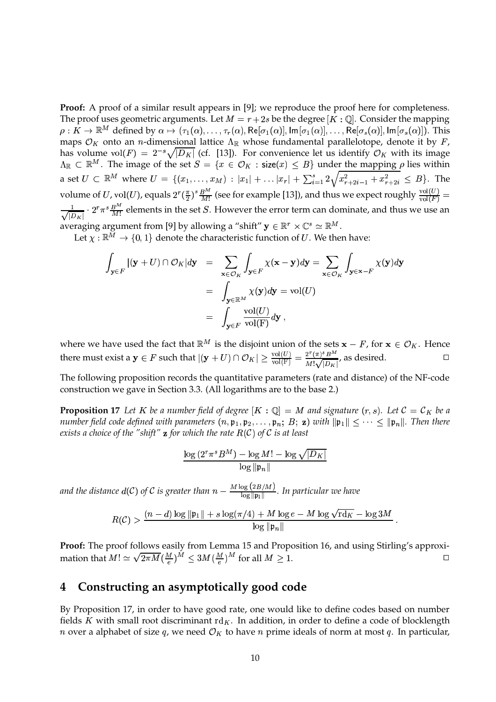**Proof:** A proof of a similar result appears in [9]; we reproduce the proof here for completeness. The proof uses geometric arguments. Let  $M = r + 2s$  be the degree  $[K:\mathbb{Q}]$ . Consider the mapping  $\rho: K \to \mathbb{R}^M$  defined by  $\alpha \mapsto (\tau_1(\alpha), \ldots, \tau_r(\alpha), \text{Re}[\sigma_1(\alpha)], \text{Im}[\sigma_1(\alpha)], \ldots, \text{Re}[\sigma_s(\alpha)], \text{Im}[\sigma_s(\alpha)]).$  This maps  $\mathcal{O}_K$  onto an n-dimensional lattice  $\Lambda_\mathbb{R}$  whose fundamental parallelotope, denote it by F, has volume vol $(F) = 2^{-s}\sqrt{|D_K|}$  (cf. [13]). For convenience let us identify  $\mathcal{O}_K$  with its image  $\Lambda_\mathbb{R} \subset \mathbb{R}^M$ . The image of the set  $S = \{x \in \mathcal{O}_K : \mathsf{size}(x) \leq B\}$  under the mapping  $\rho$  lies within a set  $U \subset \mathbb{R}^M$  where  $U = \{(x_1, \ldots, x_M) : |x_1| + \ldots |x_r| + \sum_{i=1}^s 2\sqrt{x_{r+2i-1}^2 + x_{r+2i}^2} \leq B\}$ . The volume of U, vol $(U)$ , equals  $2^r (\frac{\pi}{2})^s \frac{B^M}{M!}$  (see for example [13]), and thus we expect roughly  $\frac{vol(U)}{vol(E)}$  =  $\frac{1}{\Gamma(F)} =$  $\frac{1}{\sqrt{2}}$   $\cdot$   $2^r \pi^s \frac{B^m}{M}$  elements in the set S. However the error term can dominate, and thus we use an averaging argument from [9] by allowing a "shift"  $\mathbf{y} \in \mathbb{R}^r \times \mathbb{C}^s \simeq \mathbb{R}^M$  .

Let  $\chi:\mathbb{R}^M\to\{0,1\}$  denote the characteristic function of  $U.$  We then have:

$$
\int_{\mathbf{y}\in F} |(\mathbf{y} + U) \cap \mathcal{O}_K| d\mathbf{y} = \sum_{\mathbf{x}\in \mathcal{O}_K} \int_{\mathbf{y}\in F} \chi(\mathbf{x} - \mathbf{y}) d\mathbf{y} = \sum_{\mathbf{x}\in \mathcal{O}_K} \int_{\mathbf{y}\in \mathbf{x} - F} \chi(\mathbf{y}) d\mathbf{y}
$$
\n
$$
= \int_{\mathbf{y}\in \mathbb{R}^M} \chi(\mathbf{y}) d\mathbf{y} = \text{vol}(U)
$$
\n
$$
= \int_{\mathbf{y}\in F} \frac{\text{vol}(U)}{\text{vol}(F)} d\mathbf{y},
$$

where we have used the fact that  $\mathbb{R}^M$  is the disjoint union of the sets  $\mathbf{x} - F$ , for  $\mathbf{x} \in \mathcal{O}_K$ . Hence there must exist a  $y \in F$  such that  $|(y+U) \cap \mathcal{O}_K| \geq \frac{\text{vol}(U)}{\text{vol}(F)} = \frac{2}{3}$  $\overline{\phantom{a}}$  $\frac{\mathrm{I}(U)}{\mathrm{I}(\mathrm{F})} = \frac{2^r (\pi)^s B^M}{M! \sqrt{|D_K|}}$ , as desired. , as desired.  $\Box$ 

The following proposition records the quantitative parameters (rate and distance) of the NF-code construction we gave in Section 3.3. (All logarithms are to the base 2.)

**Proposition 17** Let K be a number field of degree  $[K : \mathbb{Q}] = M$  and signature  $(r, s)$ . Let  $\mathcal{C} = \mathcal{C}_K$  be a  $n$  *umber field code defined with parameters*  $(n, \mathfrak{p}_1, \mathfrak{p}_2, \ldots, \mathfrak{p}_n; B; \mathbf{z})$  *with*  $\|\mathfrak{p}_1\| \leq \cdots \leq \|\mathfrak{p}_n\|$ . Then there exists a choice of the "shift"  $\bf z$  for which the rate  $R(\mathcal{C})$  of  $\mathcal C$  is at least

$$
\frac{\log\left(2^r \pi^s B^M\right) - \log M! - \log \sqrt{|D_K|}}{\log \|\mathfrak{p}_n\|}
$$

and the distance  $d(C)$  of  $C$  is greater than  $n - \frac{M \log{(2B/M)}}{\log \| \mathfrak{p}_1 \|}$ . In particular we have

$$
R(\mathcal{C}) > \frac{(n-d)\log \|\mathfrak{p}_1\| + s \log(\pi/4) + M \log e - M \log \sqrt{\mathrm{rd}_K} - \log 3M}{\log \|\mathfrak{p}_n\|}.
$$

**Proof:** The proof follows easily from Lemma 15 and Proposition 16, and using Stirling's approximation that  $M! \simeq \sqrt{2\pi M} (\frac{M}{e})^M \leq 3M (\frac{M}{e})^M$  for all  $M \geq 1$ .

# **4 Constructing an asymptotically good code**

By Proposition 17, in order to have good rate, one would like to define codes based on number fields K with small root discriminant  $\mathrm{rd}_K$ . In addition, in order to define a code of blocklength *n* over a alphabet of size q, we need  $\mathcal{O}_K$  to have *n* prime ideals of norm at most q. In particular,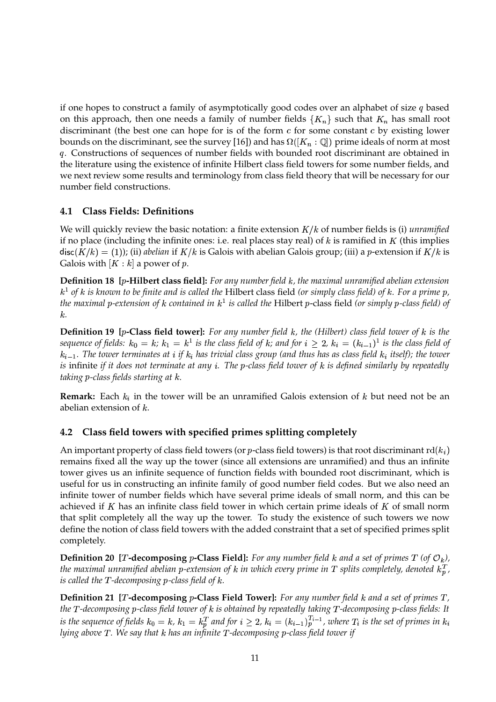if one hopes to construct a family of asymptotically good codes over an alphabet of size  $q$  based on this approach, then one needs a family of number fields  $\{K_n\}$  such that  $K_n$  has small root discriminant (the best one can hope for is of the form  $c$  for some constant  $c$  by existing lower bounds on the discriminant, see the survey [16]) and has  $\Omega([K_n:\mathbb{Q}])$  prime ideals of norm at most q. Constructions of sequences of number fields with bounded root discriminant are obtained in the literature using the existence of infinite Hilbert class field towers for some number fields, and we next review some results and terminology from class field theory that will be necessary for our number field constructions.

### **4.1 Class Fields: Definitions**

We will quickly review the basic notation: a finite extension  $K/k$  of number fields is (i) *unramified* if no place (including the infinite ones: i.e. real places stay real) of  $k$  is ramified in  $K$  (this implies disc $(K/k) = (1)$ ); (ii) *abelian* if  $K/k$  is Galois with abelian Galois group; (iii) a p-extension if  $K/k$  is Galois with  $[K : k]$  a power of  $p$ .

**Definition 18 [-Hilbert class field]:** *For any number field* /*, the maximal unramified abelian extension*  $k^1$  of  $k$  is known to be finite and is called the Hilbert class field (or simply class field) of  $k$ . For a prime  $p$ , *the maximal -extension of* / *contained in* / <sup>8</sup> *is called the* Hilbert -class field *(or simply -class field) of* /*.*

**Definition 19** [p-Class field tower]: For any number field  $k$ , the (Hilbert) class field tower of  $k$  is the sequence of fields:  $k_0=k; \, k_1=k^1$  is the class field of  $k;$  and for  $i\,\geq\,2, \, k_i=(k_{i-1})^1$  is the class field of  $k_{i-1}.$  The tower terminates at  $i$  if  $k_i$  has trivial class group (and thus has as class field  $k_i$  itself); the tower is infinite if it does not terminate at any i. The p-class field tower of k is defined similarly by repeatedly *taking -class fields starting at* /*.*

**Remark:** Each  $k_i$  in the tower will be an unramified Galois extension of  $k$  but need not be an abelian extension of  $k$ .

# **4.2 Class field towers with specified primes splitting completely**

An important property of class field towers (or  $p$ -class field towers) is that root discriminant  $\mathrm{rd}(k_i)$ remains fixed all the way up the tower (since all extensions are unramified) and thus an infinite tower gives us an infinite sequence of function fields with bounded root discriminant, which is useful for us in constructing an infinite family of good number field codes. But we also need an infinite tower of number fields which have several prime ideals of small norm, and this can be achieved if  $K$  has an infinite class field tower in which certain prime ideals of  $K$  of small norm that split completely all the way up the tower. To study the existence of such towers we now define the notion of class field towers with the added constraint that a set of specified primes split completely.

**Definition 20 [T-decomposing** p-Class Field]: For any number field k and a set of primes T (of  $\mathcal{O}_k$ ), the maximal unramified abelian p-extension of  $k$  in which every prime in  $T$  splits completely, denoted  $k_p^T$ , *is* called the T-decomposing p-class field of k.

**Definition 21** [T-decomposing p-Class Field Tower]: For any number field k and a set of primes T, *the -decomposing -class field tower of* / *is obtained by repeatedly taking -decomposing -class fields: It* is the sequence of fields  $k_0 = k$ ,  $k_1 = k_p^T$  and for  $i \geq 2$ ,  $k_i = (k_{i-1})_p^{T_{i-1}}$ , where  $T_i$  is the set of primes in  $k_i$ *lying above . We say that* / *has an infinite -decomposing -class field tower if*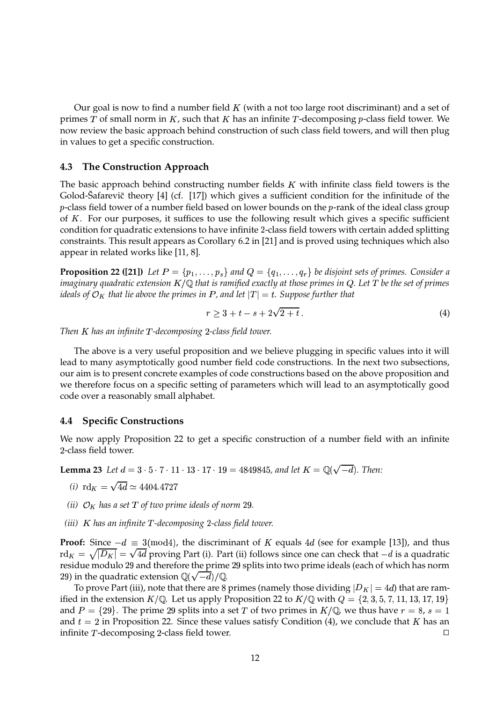Our goal is now to find a number field  $K$  (with a not too large root discriminant) and a set of primes  $T$  of small norm in  $K$ , such that  $K$  has an infinite  $T$ -decomposing  $p$ -class field tower. We now review the basic approach behind construction of such class field towers, and will then plug in values to get a specific construction.

### **4.3 The Construction Approach**

The basic approach behind constructing number fields  $K$  with infinite class field towers is the Golod-Šafarevič theory [4] (cf. [17]) which gives a sufficient condition for the infinitude of the  $p$ -class field tower of a number field based on lower bounds on the  $p$ -rank of the ideal class group of  $K$ . For our purposes, it suffices to use the following result which gives a specific sufficient condition for quadratic extensions to have infinite 2-class field towers with certain added splitting constraints. This result appears as Corollary 6.2 in [21] and is proved using techniques which also appear in related works like [11, 8].

**Proposition 22 ([21])** Let  $P = \{p_1, \ldots, p_s\}$  and  $Q = \{q_1, \ldots, q_r\}$  be disjoint sets of primes. Consider a imaginary quadratic extension  $K/\mathbb{Q}$  that is ramified exactly at those primes in Q. Let T be the set of primes *ideals of*  $\mathcal{O}_K$  *that lie above the primes in*  $P$  *, and let*  $|T|=t.$  *Suppose further that* 

$$
r \ge 3 + t - s + 2\sqrt{2 + t} \tag{4}
$$

*Then has an infinite -decomposing -class field tower.*

The above is a very useful proposition and we believe plugging in specific values into it will lead to many asymptotically good number field code constructions. In the next two subsections, our aim is to present concrete examples of code constructions based on the above proposition and we therefore focus on a specific setting of parameters which will lead to an asymptotically good code over a reasonably small alphabet.

### **4.4 Specific Constructions**

We now apply Proposition 22 to get a specific construction of a number field with an infinite 2-class field tower.

**Lemma 23** Let  $d = 3 \cdot 5 \cdot 7 \cdot 11 \cdot 13 \cdot 17 \cdot 19 = 4849845$ , and let  $K = \mathbb{Q}(\sqrt{-d})$ . Then:

- *(i)*  $\text{rd}_K = \sqrt{4d} \simeq 4404.4727$
- *(ii)*  $\mathcal{O}_K$  *has a set*  $T$  *of two prime ideals of norm* 29.
- *(iii) has an infinite -decomposing -class field tower.*

**Proof:** Since  $-d \equiv 3 \pmod{4}$ , the discriminant of K equals 4d (see for example [13]), and thus  $\text{rd}_K = \sqrt{|D_K|} = \sqrt{4d}$  proving Part (i). Part (ii) follows since one can check that  $-d$  is a quadratic residue modulo 29 and therefore the prime 29 splits into two prime ideals (each of which has norm 29) in the quadratic extension  $\mathbb{Q}(\sqrt{-d})/\mathbb{Q}$ .

To prove Part (iii), note that there are 8 primes (namely those dividing  $\vert D_K\vert=4d$ ) that are ramified in the extension  $K/\mathbb{Q}$ . Let us apply Proposition 22 to  $K/\mathbb{Q}$  with  $Q = \{2,3,5,7,11,13,17,19\}$ and  $P = \{29\}$ . The prime 29 splits into a set  $T$  of two primes in  $K/{\mathbb Q}$ , we thus have  $r = 8$ ,  $s = 1$ and  $t=2$  in Proposition 22. Since these values satisfy Condition (4), we conclude that  $K$  has an infinite  $T$ -decomposing 2-class field tower.  $\Box$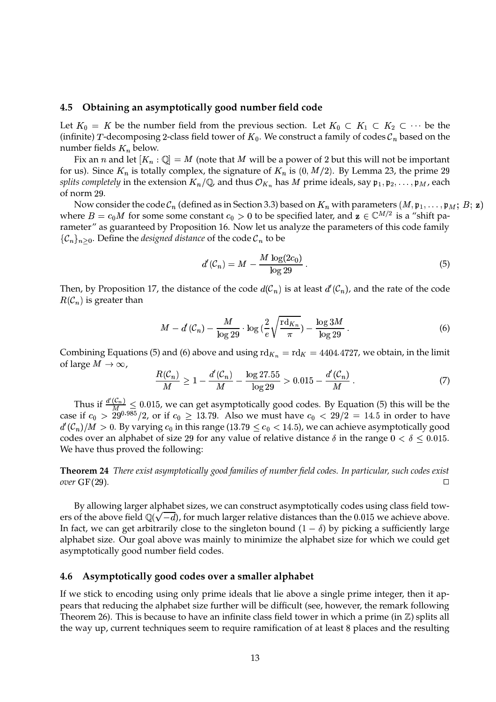### **4.5 Obtaining an asymptotically good number field code**

Let  $K_0 = K$  be the number field from the previous section. Let  $K_0 \subset K_1 \subset K_2 \subset \cdots$  be the (infinite)  $T$ -decomposing 2-class field tower of  $K_0.$  We construct a family of codes  $\mathcal{C}_n$  based on the number fields  $K_n$  below.

Fix an  $n$  and let  $[K_n:\mathbb{Q}]=M$  (note that  $M$  will be a power of 2 but this will not be important for us). Since  $K_n$  is totally complex, the signature of  $K_n$  is  $(0, M/2)$ . By Lemma 23, the prime 29  $s$ plits completely in the extension  $K_n/{\mathbb Q}$  and thus  ${\mathcal O}_{K_n}$  has  $M$  prime ideals, say  $\mathfrak{p}_1,\mathfrak{p}_2,\ldots,\mathfrak{p}_M$ , each of norm 29.

Now consider the code  $\mathcal{C}_n$  (defined as in Section 3.3) based on  $K_n$  with parameters  $(M, \mathfrak{p}_1, \dots, \mathfrak{p}_M;$   $B;$   $\mathbf{z})$ where  $B=c_0M$  for some some constant  $c_0>0$  to be specified later, and  $\mathbf{z}\in\mathbb{C}^{M/2}$  is a "shift parameter" as guaranteed by Proposition 16. Now let us analyze the parameters of this code family  $\{\mathcal{C}_n\}_{n\geq 0}$ . Define the *designed distance* of the code  $\mathcal{C}_n$  to be

$$
d'(\mathcal{C}_n) = M - \frac{M \log(2c_0)}{\log 29}.
$$
\n
$$
(5)
$$

Then, by Proposition 17, the distance of the code  $d(C_n)$  is at least  $d'(C_n)$ , and the rate of the code  $R(\mathcal{C}_n)$  is greater than

$$
M - d'(\mathcal{C}_n) - \frac{M}{\log 29} \cdot \log \left( \frac{2}{e} \sqrt{\frac{\operatorname{rd}_{K_n}}{\pi}} \right) - \frac{\log 3M}{\log 29} \,. \tag{6}
$$

Combining Equations (5) and (6) above and using  $\mathrm{rd}_{K_n} = \mathrm{rd}_K = 4404.4727$ , we obtain, in the limit of large  $M \to \infty$ ,

$$
\frac{R(\mathcal{C}_n)}{M} \ge 1 - \frac{d'(\mathcal{C}_n)}{M} - \frac{\log 27.55}{\log 29} > 0.015 - \frac{d'(\mathcal{C}_n)}{M} \,. \tag{7}
$$

Thus if  $\frac{d'(C_n)}{M} \leq 0.015$ , we can get asymptotically good codes. By Equation (5) this will be the case if  $c_0$   $>$   $\,29^{0.985}/2$ , or if  $c_0$   $\geq\,13.79.$  Also we must have  $c_0$   $<$   $\,29/2\,=\,14.5$  in order to have  $\cdots$   $\cdots$  $C(\mathcal{C}_n)/M > 0$ . By varying  $c_0$  in this range (13.79  $\leq c_0 < 14.5$ ), we can achieve asymptotically good codes over an alphabet of size 29 for any value of relative distance  $\delta$  in the range  $0 < \delta \leq 0.015$ . We have thus proved the following:

**Theorem 24** *There exist asymptotically good families of number field codes. In particular, such codes exist*  $\sigma$ *over* GF(29).

By allowing larger alphabet sizes, we can construct asymptotically codes using class field towers of the above field  $\mathbb{Q}(\sqrt{-d})$ , for much larger relative distances than the  $0.015$  we achieve above. In fact, we can get arbitrarily close to the singleton bound  $(1 - \delta)$  by picking a sufficiently large alphabet size. Our goal above was mainly to minimize the alphabet size for which we could get asymptotically good number field codes.

### **4.6 Asymptotically good codes over a smaller alphabet**

If we stick to encoding using only prime ideals that lie above a single prime integer, then it appears that reducing the alphabet size further will be difficult (see, however, the remark following Theorem 26). This is because to have an infinite class field tower in which a prime (in  $\mathbb{Z}$ ) splits all the way up, current techniques seem to require ramification of at least places and the resulting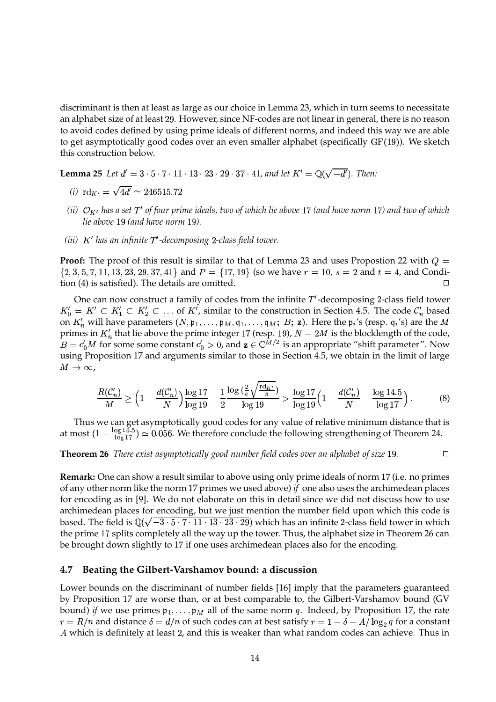discriminant is then at least as large as our choice in Lemma 23, which in turn seems to necessitate an alphabet size of at least 29. However, since NF-codes are not linear in general, there is no reason to avoid codes defined by using prime ideals of different norms, and indeed this way we are able to get asymptotically good codes over an even smaller alphabet (specifically  $GF(19)$ ). We sketch this construction below.

**Lemma** 25 Let  $d' = 3 \cdot 5 \cdot 7 \cdot 11 \cdot 13 \cdot 23 \cdot 29 \cdot 37 \cdot 41$ , and let  $K' = \mathbb{Q}(\sqrt{-d'})$ . Then:

- *(i)*  $\text{rd}_{K'} = \sqrt{4d'} \simeq 246515.72$
- (ii)  $\mathcal{O}_{K'}$  has a set  $T'$  of four prime ideals, two of which lie above 17 (and have norm 17) and two of which *lie above 19 (and have norm 19).*
- *(iii) has an infinite -decomposing -class field tower.*

**Proof:** The proof of this result is similar to that of Lemma 23 and uses Propostion 22 with  $Q =$  $\{2, 3, 5, 7, 11, 13, 23, 29, 37, 41\}$  and  $P = \{17, 19\}$  (so we have  $r = 10$ ,  $s = 2$  and  $t = 4$ , and Condition (4) is satisfied). The details are omitted.  $\Box$ 

One can now construct a family of codes from the infinite  $T'$ -decomposing 2-class field tower  $K_0' = K' \subset K_1' \subset K_2' \subset$  $\subset K'_1 \subset K'_2 \subset \ldots$  of  $K'$ , similar to the construction in Section 4.5. The code  $C'_n$  based on  $K'_n$  will have parameters  $(N, \mathfrak{p}_1, \ldots, \mathfrak{p}_M, \mathfrak{q}_1, \ldots, \mathfrak{q}_M; B; \mathbf{z})$ . Here the  $\mathfrak{p}_i$ 's (resp.  $\mathfrak{q}_i$ 's) are the M primes in  $K'_n$  that lie above the prime integer 17 (resp. 19),  $N = 2M$  is the blocklength of the code,  $B = c'_0 M$  for some some constant  $c'_0 > 0$ , and  $\mathbf{z} \in \mathbb{C}^{M/2}$  is an appropriate "shift parameter". Now using Proposition 17 and arguments similar to those in Section 4.5, we obtain in the limit of large  $M\rightarrow\infty$  ,

$$
\frac{R(\mathcal{C}'_n)}{M} \ge \left(1 - \frac{d(\mathcal{C}'_n)}{N}\right) \frac{\log 17}{\log 19} - \frac{1}{2} \frac{\log \left(\frac{2}{e} \sqrt{\frac{\text{rd}_K t}{\pi}}\right)}{\log 19} > \frac{\log 17}{\log 19} \left(1 - \frac{d(\mathcal{C}'_n)}{N} - \frac{\log 14.5}{\log 17}\right). \tag{8}
$$

Thus we can get asymptotically good codes for any value of relative minimum distance that is at most  $(1 - \frac{\log 14.5}{\log 17}) \simeq 0.056$ . We therefore conclude the following strengthening of Theorem 24.

**Theorem 26** *There exist asymptotically good number field codes over an alphabet of size* 19.

**Remark:** One can show a result similar to above using only prime ideals of norm 17 (i.e. no primes of any other norm like the norm 17 primes we used above) *if* one also uses the archimedean places for encoding as in [9]. We do not elaborate on this in detail since we did not discuss how to use archimedean places for encoding, but we just mention the number field upon which this code is based. The field is  $\mathbb{Q}(\sqrt{-3\cdot 5\cdot 7\cdot 11\cdot 13\cdot 23\cdot 29})$  which has an infinite 2-class field tower in which the prime 17 splits completely all the way up the tower. Thus, the alphabet size in Theorem 26 can be brought down slightly to 17 if one uses archimedean places also for the encoding.

### **4.7 Beating the Gilbert-Varshamov bound: a discussion**

Lower bounds on the discriminant of number fields [16] imply that the parameters guaranteed by Proposition 17 are worse than, or at best comparable to, the Gilbert-Varshamov bound (GV bound) *if* we use primes  $\mathfrak{p}_1,\ldots,\mathfrak{p}_M$  all of the same norm  $q$ . Indeed, by Proposition 17, the rate  $r=R/n$  and distance  $\delta=d/n$  of such codes can at best satisfy  $r=1-\delta-A/\log_2q$  for a constant  $A$  which is definitely at least 2, and this is weaker than what random codes can achieve. Thus in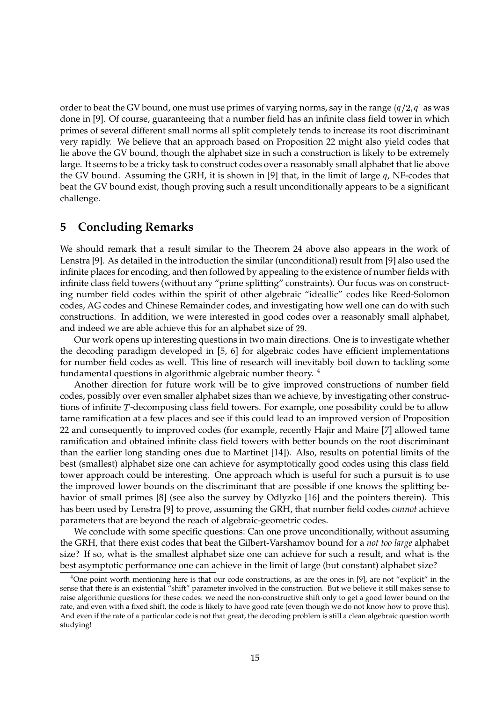order to beat the GV bound, one must use primes of varying norms, say in the range  $(q/2, q]$  as was done in [9]. Of course, guaranteeing that a number field has an infinite class field tower in which primes of several different small norms all split completely tends to increase its root discriminant very rapidly. We believe that an approach based on Proposition 22 might also yield codes that lie above the GV bound, though the alphabet size in such a construction is likely to be extremely large. It seems to be a tricky task to construct codes over a reasonably small alphabet that lie above the GV bound. Assuming the GRH, it is shown in [9] that, in the limit of large  $q$ , NF-codes that beat the GV bound exist, though proving such a result unconditionally appears to be a significant challenge.

# **5 Concluding Remarks**

We should remark that a result similar to the Theorem 24 above also appears in the work of Lenstra [9]. As detailed in the introduction the similar (unconditional) result from [9] also used the infinite places for encoding, and then followed by appealing to the existence of number fields with infinite class field towers (without any "prime splitting" constraints). Our focus was on constructing number field codes within the spirit of other algebraic "ideallic" codes like Reed-Solomon codes, AG codes and Chinese Remainder codes, and investigating how well one can do with such constructions. In addition, we were interested in good codes over a reasonably small alphabet, and indeed we are able achieve this for an alphabet size of 29.

Our work opens up interesting questions in two main directions. One is to investigate whether the decoding paradigm developed in [5, 6] for algebraic codes have efficient implementations for number field codes as well. This line of research will inevitably boil down to tackling some fundamental questions in algorithmic algebraic number theory. <sup>4</sup>

Another direction for future work will be to give improved constructions of number field codes, possibly over even smaller alphabet sizes than we achieve, by investigating other constructions of infinite  $T$ -decomposing class field towers. For example, one possibility could be to allow tame ramification at a few places and see if this could lead to an improved version of Proposition 22 and consequently to improved codes (for example, recently Hajir and Maire [7] allowed tame ramification and obtained infinite class field towers with better bounds on the root discriminant than the earlier long standing ones due to Martinet [14]). Also, results on potential limits of the best (smallest) alphabet size one can achieve for asymptotically good codes using this class field tower approach could be interesting. One approach which is useful for such a pursuit is to use the improved lower bounds on the discriminant that are possible if one knows the splitting behavior of small primes [8] (see also the survey by Odlyzko [16] and the pointers therein). This has been used by Lenstra [9] to prove, assuming the GRH, that number field codes *cannot* achieve parameters that are beyond the reach of algebraic-geometric codes.

We conclude with some specific questions: Can one prove unconditionally, without assuming the GRH, that there exist codes that beat the Gilbert-Varshamov bound for a *not too large* alphabet size? If so, what is the smallest alphabet size one can achieve for such a result, and what is the best asymptotic performance one can achieve in the limit of large (but constant) alphabet size?

 $4$ One point worth mentioning here is that our code constructions, as are the ones in [9], are not "explicit" in the sense that there is an existential "shift" parameter involved in the construction. But we believe it still makes sense to raise algorithmic questions for these codes: we need the non-constructive shift only to get a good lower bound on the rate, and even with a fixed shift, the code is likely to have good rate (even though we do not know how to prove this). And even if the rate of a particular code is not that great, the decoding problem is still a clean algebraic question worth studying!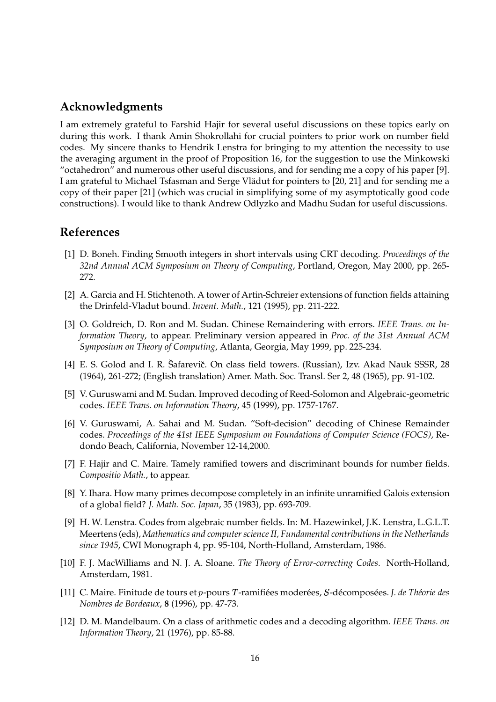# **Acknowledgments**

I am extremely grateful to Farshid Hajir for several useful discussions on these topics early on during this work. I thank Amin Shokrollahi for crucial pointers to prior work on number field codes. My sincere thanks to Hendrik Lenstra for bringing to my attention the necessity to use the averaging argument in the proof of Proposition 16, for the suggestion to use the Minkowski "octahedron" and numerous other useful discussions, and for sending me a copy of his paper [9]. I am grateful to Michael Tsfasman and Serge Vlădut for pointers to [20, 21] and for sending me a copy of their paper [21] (which was crucial in simplifying some of my asymptotically good code constructions). I would like to thank Andrew Odlyzko and Madhu Sudan for useful discussions.

# **References**

- [1] D. Boneh. Finding Smooth integers in short intervals using CRT decoding. *Proceedings of the 32nd Annual ACM Symposium on Theory of Computing*, Portland, Oregon, May 2000, pp. 265- 272.
- [2] A. Garcia and H. Stichtenoth. A tower of Artin-Schreier extensions of function fields attaining the Drinfeld-Vladut bound. *Invent. Math.*, 121 (1995), pp. 211-222.
- [3] O. Goldreich, D. Ron and M. Sudan. Chinese Remaindering with errors. *IEEE Trans. on Information Theory*, to appear. Preliminary version appeared in *Proc. of the 31st Annual ACM Symposium on Theory of Computing*, Atlanta, Georgia, May 1999, pp. 225-234.
- [4] E. S. Golod and I. R. Šafarevič. On class field towers. (Russian), Izv. Akad Nauk SSSR, 28 (1964), 261-272; (English translation) Amer. Math. Soc. Transl. Ser 2, 48 (1965), pp. 91-102.
- [5] V. Guruswami and M. Sudan. Improved decoding of Reed-Solomon and Algebraic-geometric codes. *IEEE Trans. on Information Theory*, 45 (1999), pp. 1757-1767.
- [6] V. Guruswami, A. Sahai and M. Sudan. "Soft-decision" decoding of Chinese Remainder codes. *Proceedings of the 41st IEEE Symposium on Foundations of Computer Science (FOCS)*, Redondo Beach, California, November 12-14,2000.
- [7] F. Hajir and C. Maire. Tamely ramified towers and discriminant bounds for number fields. *Compositio Math.*, to appear.
- [8] Y. Ihara. How many primes decompose completely in an infinite unramified Galois extension of a global field? *J. Math. Soc. Japan*, 35 (1983), pp. 693-709.
- [9] H. W. Lenstra. Codes from algebraic number fields. In: M. Hazewinkel, J.K. Lenstra, L.G.L.T. Meertens (eds), *Mathematics and computer science II, Fundamental contributions in the Netherlands since 1945*, CWI Monograph 4, pp. 95-104, North-Holland, Amsterdam, 1986.
- [10] F. J. MacWilliams and N. J. A. Sloane. *The Theory of Error-correcting Codes*. North-Holland, Amsterdam, 1981.
- [11] C. Maire. Finitude de tours et p-pours T-ramifiées moderées, S-décomposées. J. *de Théorie des Nombres de Bordeaux*, **8** (1996), pp. 47-73.
- [12] D. M. Mandelbaum. On a class of arithmetic codes and a decoding algorithm. *IEEE Trans. on Information Theory*, 21 (1976), pp. 85-88.